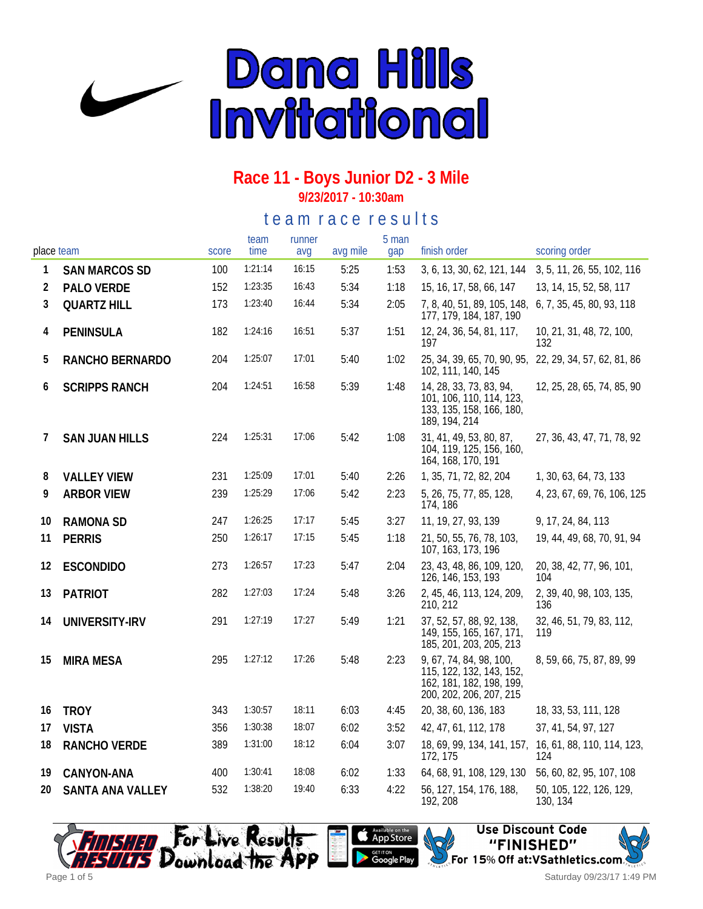

# **Race 11 - Boys Junior D2 - 3 Mile**

**9/23/2017 - 10:30am**

#### te a m r a c e r e s ults

| place team |                       | score | team<br>time | runner<br>avq | avg mile | 5 man<br>gap | finish order                                                                                               | scoring order                                                |
|------------|-----------------------|-------|--------------|---------------|----------|--------------|------------------------------------------------------------------------------------------------------------|--------------------------------------------------------------|
| 1          | <b>SAN MARCOS SD</b>  | 100   | 1:21:14      | 16:15         | 5:25     | 1:53         | 3, 6, 13, 30, 62, 121, 144                                                                                 | 3, 5, 11, 26, 55, 102, 116                                   |
| 2          | PALO VERDE            | 152   | 1:23:35      | 16:43         | 5:34     | 1:18         | 15, 16, 17, 58, 66, 147                                                                                    | 13, 14, 15, 52, 58, 117                                      |
| 3          | <b>QUARTZ HILL</b>    | 173   | 1:23:40      | 16:44         | 5:34     | 2:05         | 7, 8, 40, 51, 89, 105, 148,<br>177, 179, 184, 187, 190                                                     | 6, 7, 35, 45, 80, 93, 118                                    |
| 4          | <b>PENINSULA</b>      | 182   | 1:24:16      | 16:51         | 5:37     | 1:51         | 12, 24, 36, 54, 81, 117,<br>197                                                                            | 10, 21, 31, 48, 72, 100,<br>132                              |
| 5          | RANCHO BERNARDO       | 204   | 1:25:07      | 17:01         | 5:40     | 1:02         | 25, 34, 39, 65, 70, 90, 95, 22, 29, 34, 57, 62, 81, 86<br>102, 111, 140, 145                               |                                                              |
| 6          | <b>SCRIPPS RANCH</b>  | 204   | 1:24:51      | 16:58         | 5:39     | 1:48         | 14, 28, 33, 73, 83, 94,<br>101, 106, 110, 114, 123,<br>133, 135, 158, 166, 180,<br>189, 194, 214           | 12, 25, 28, 65, 74, 85, 90                                   |
| 7          | <b>SAN JUAN HILLS</b> | 224   | 1:25:31      | 17:06         | 5:42     | 1:08         | 31, 41, 49, 53, 80, 87,<br>104, 119, 125, 156, 160,<br>164, 168, 170, 191                                  | 27, 36, 43, 47, 71, 78, 92                                   |
| 8          | <b>VALLEY VIEW</b>    | 231   | 1:25:09      | 17:01         | 5:40     | 2:26         | 1, 35, 71, 72, 82, 204                                                                                     | 1, 30, 63, 64, 73, 133                                       |
| 9          | <b>ARBOR VIEW</b>     | 239   | 1:25:29      | 17:06         | 5:42     | 2:23         | 5, 26, 75, 77, 85, 128,<br>174, 186                                                                        | 4, 23, 67, 69, 76, 106, 125                                  |
| 10         | <b>RAMONA SD</b>      | 247   | 1:26:25      | 17:17         | 5:45     | 3:27         | 11, 19, 27, 93, 139                                                                                        | 9, 17, 24, 84, 113                                           |
| 11         | <b>PERRIS</b>         | 250   | 1:26:17      | 17:15         | 5:45     | 1:18         | 21, 50, 55, 76, 78, 103,<br>107, 163, 173, 196                                                             | 19, 44, 49, 68, 70, 91, 94                                   |
| 12         | <b>ESCONDIDO</b>      | 273   | 1:26:57      | 17:23         | 5:47     | 2:04         | 23, 43, 48, 86, 109, 120,<br>126, 146, 153, 193                                                            | 20, 38, 42, 77, 96, 101,<br>104                              |
| 13         | <b>PATRIOT</b>        | 282   | 1:27:03      | 17:24         | 5:48     | 3:26         | 2, 45, 46, 113, 124, 209,<br>210, 212                                                                      | 2, 39, 40, 98, 103, 135,<br>136                              |
| 14         | UNIVERSITY-IRV        | 291   | 1:27:19      | 17:27         | 5:49     | 1:21         | 37, 52, 57, 88, 92, 138,<br>149, 155, 165, 167, 171,<br>185, 201, 203, 205, 213                            | 32, 46, 51, 79, 83, 112,<br>119                              |
| 15         | <b>MIRA MESA</b>      | 295   | 1:27:12      | 17:26         | 5:48     | 2:23         | 9, 67, 74, 84, 98, 100,<br>115, 122, 132, 143, 152,<br>162, 181, 182, 198, 199,<br>200, 202, 206, 207, 215 | 8, 59, 66, 75, 87, 89, 99                                    |
| 16         | <b>TROY</b>           | 343   | 1:30:57      | 18:11         | 6:03     | 4:45         | 20, 38, 60, 136, 183                                                                                       | 18, 33, 53, 111, 128                                         |
| 17         | <b>VISTA</b>          | 356   | 1:30:38      | 18:07         | 6:02     | 3:52         | 42, 47, 61, 112, 178                                                                                       | 37, 41, 54, 97, 127                                          |
| 18         | RANCHO VERDE          | 389   | 1:31:00      | 18:12         | 6:04     | 3:07         | 172, 175                                                                                                   | 18, 69, 99, 134, 141, 157, 16, 61, 88, 110, 114, 123,<br>124 |
| 19         | CANYON-ANA            | 400   | 1:30:41      | 18:08         | 6:02     | 1:33         | 64, 68, 91, 108, 129, 130                                                                                  | 56, 60, 82, 95, 107, 108                                     |
| 20         | SANTA ANA VALLEY      | 532   | 1:38:20      | 19:40         | 6:33     | 4:22         | 56, 127, 154, 176, 188,<br>192, 208                                                                        | 50, 105, 122, 126, 129,<br>130, 134                          |







Saturday 09/23/17 1:49 PM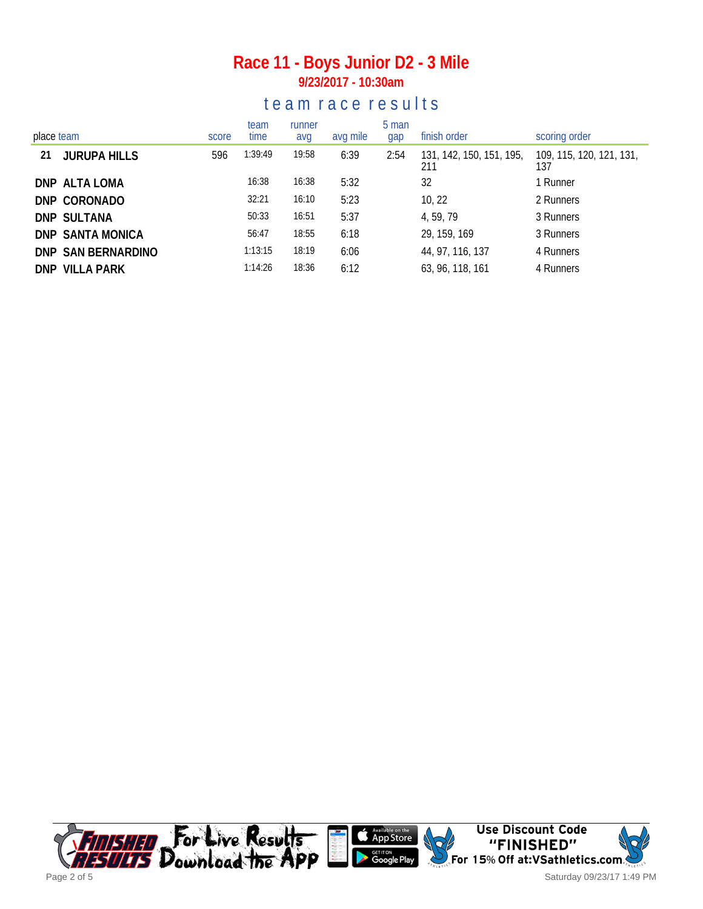#### **Race 11 - Boys Junior D2 - 3 Mile 9/23/2017 - 10:30am**

#### te a m r a c e r e s ults

| place team |                     | score | team<br>time | runner<br>avg | avg mile | 5 man<br>gap | finish order                    | scoring order                   |
|------------|---------------------|-------|--------------|---------------|----------|--------------|---------------------------------|---------------------------------|
| 21         | <b>JURUPA HILLS</b> | 596   | 1:39:49      | 19:58         | 6:39     | 2:54         | 131, 142, 150, 151, 195,<br>211 | 109, 115, 120, 121, 131,<br>137 |
|            | DNP ALTA LOMA       |       | 16:38        | 16:38         | 5:32     |              | 32                              | 1 Runner                        |
|            | DNP CORONADO        |       | 32:21        | 16:10         | 5:23     |              | 10, 22                          | 2 Runners                       |
|            | <b>DNP SULTANA</b>  |       | 50:33        | 16:51         | 5:37     |              | 4, 59, 79                       | 3 Runners                       |
|            | DNP SANTA MONICA    |       | 56:47        | 18:55         | 6:18     |              | 29, 159, 169                    | 3 Runners                       |
|            | DNP SAN BERNARDINO  |       | 1:13:15      | 18:19         | 6:06     |              | 44, 97, 116, 137                | 4 Runners                       |
|            | DNP VILLA PARK      |       | 1:14:26      | 18:36         | 6:12     |              | 63, 96, 118, 161                | 4 Runners                       |

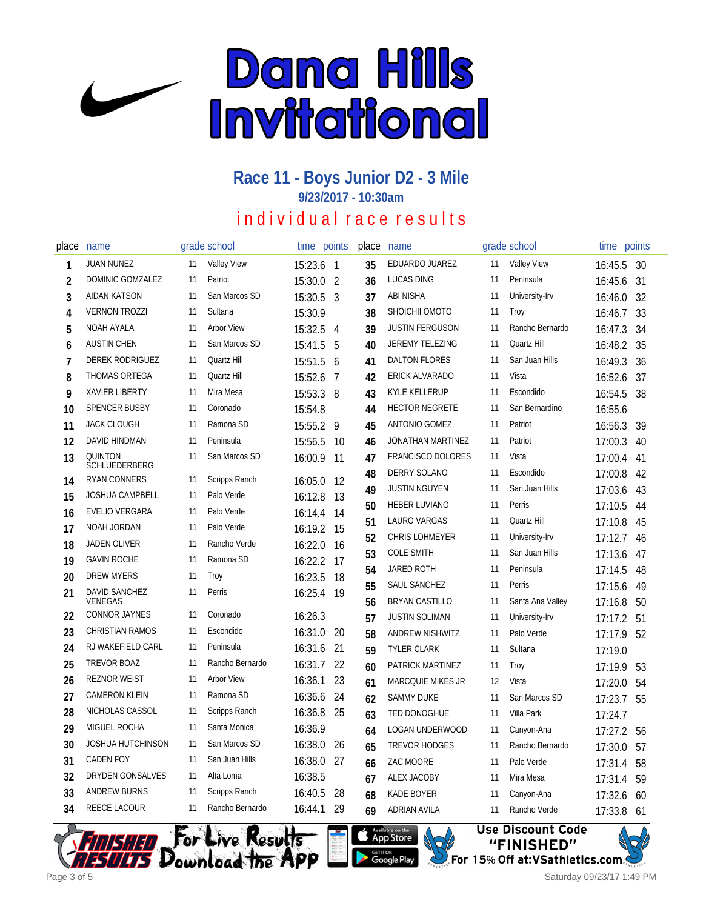

#### **Race 11 - Boys Junior D2 - 3 Mile 9/23/2017 - 10:30am**

## individual race results

| place          | name                            |    | grade school       | time    | points         | place | name                     |    | grade school       | time points |     |
|----------------|---------------------------------|----|--------------------|---------|----------------|-------|--------------------------|----|--------------------|-------------|-----|
| 1              | <b>JUAN NUNEZ</b>               | 11 | <b>Valley View</b> | 15:23.6 | $\overline{1}$ | 35    | EDUARDO JUAREZ           | 11 | <b>Valley View</b> | 16:45.5     | -30 |
| $\overline{2}$ | DOMINIC GOMZALEZ                | 11 | Patriot            | 15:30.0 | $\overline{2}$ | 36    | <b>LUCAS DING</b>        | 11 | Peninsula          | 16:45.6     | 31  |
| 3              | <b>AIDAN KATSON</b>             | 11 | San Marcos SD      | 15:30.5 | 3              | 37    | ABI NISHA                | 11 | University-Irv     | 16:46.0     | 32  |
| 4              | <b>VERNON TROZZI</b>            | 11 | Sultana            | 15:30.9 |                | 38    | SHOICHII OMOTO           | 11 | Troy               | 16:46.7     | 33  |
| 5              | NOAH AYALA                      | 11 | <b>Arbor View</b>  | 15:32.5 | 4              | 39    | <b>JUSTIN FERGUSON</b>   | 11 | Rancho Bernardo    | 16:47.3     | 34  |
| 6              | <b>AUSTIN CHEN</b>              | 11 | San Marcos SD      | 15:41.5 | 5              | 40    | <b>JEREMY TELEZING</b>   | 11 | Quartz Hill        | 16:48.2     | 35  |
| $\overline{1}$ | <b>DEREK RODRIGUEZ</b>          | 11 | Quartz Hill        | 15:51.5 | 6              | 41    | <b>DALTON FLORES</b>     | 11 | San Juan Hills     | 16:49.3     | 36  |
| 8              | THOMAS ORTEGA                   | 11 | Quartz Hill        | 15:52.6 | 7              | 42    | ERICK ALVARADO           | 11 | Vista              | 16:52.6     | 37  |
| 9              | <b>XAVIER LIBERTY</b>           | 11 | Mira Mesa          | 15:53.3 | 8              | 43    | <b>KYLE KELLERUP</b>     | 11 | Escondido          | 16:54.5     | 38  |
| 10             | <b>SPENCER BUSBY</b>            | 11 | Coronado           | 15:54.8 |                | 44    | <b>HECTOR NEGRETE</b>    | 11 | San Bernardino     | 16:55.6     |     |
| 11             | <b>JACK CLOUGH</b>              | 11 | Ramona SD          | 15:55.2 | 9              | 45    | ANTONIO GOMEZ            | 11 | Patriot            | 16:56.3     | 39  |
| 12             | DAVID HINDMAN                   | 11 | Peninsula          | 15:56.5 | 10             | 46    | JONATHAN MARTINEZ        | 11 | Patriot            | 17:00.3     | 40  |
| 13             | QUINTON<br><b>SCHLUEDERBERG</b> | 11 | San Marcos SD      | 16:00.9 | 11             | 47    | <b>FRANCISCO DOLORES</b> | 11 | Vista              | 17:00.4     | 41  |
| 14             | <b>RYAN CONNERS</b>             | 11 | Scripps Ranch      | 16:05.0 | 12             | 48    | <b>DERRY SOLANO</b>      | 11 | Escondido          | 17:00.8     | 42  |
| 15             | <b>JOSHUA CAMPBELL</b>          | 11 | Palo Verde         | 16:12.8 | 13             | 49    | <b>JUSTIN NGUYEN</b>     | 11 | San Juan Hills     | 17:03.6     | 43  |
| 16             | EVELIO VERGARA                  | 11 | Palo Verde         | 16:14.4 | 14             | 50    | HEBER LUVIANO            | 11 | Perris             | 17:10.5     | 44  |
| 17             | NOAH JORDAN                     | 11 | Palo Verde         | 16:19.2 | 15             | 51    | LAURO VARGAS             | 11 | Quartz Hill        | 17:10.8     | 45  |
| 18             | JADEN OLIVER                    | 11 | Rancho Verde       | 16:22.0 | 16             | 52    | <b>CHRIS LOHMEYER</b>    | 11 | University-Irv     | 17:12.7     | 46  |
| 19             | <b>GAVIN ROCHE</b>              | 11 | Ramona SD          | 16:22.2 | 17             | 53    | <b>COLE SMITH</b>        | 11 | San Juan Hills     | 17:13.6     | 47  |
| 20             | <b>DREW MYERS</b>               | 11 | Troy               | 16:23.5 | 18             | 54    | <b>JARED ROTH</b>        | 11 | Peninsula          | 17:14.5     | 48  |
| 21             | DAVID SANCHEZ                   | 11 | Perris             | 16:25.4 | 19             | 55    | SAUL SANCHEZ             | 11 | Perris             | 17:15.6     | 49  |
|                | VENEGAS                         |    |                    |         |                | 56    | <b>BRYAN CASTILLO</b>    | 11 | Santa Ana Valley   | 17:16.8     | 50  |
| 22             | <b>CONNOR JAYNES</b>            | 11 | Coronado           | 16:26.3 |                | 57    | <b>JUSTIN SOLIMAN</b>    | 11 | University-Irv     | 17:17.2     | 51  |
| 23             | <b>CHRISTIAN RAMOS</b>          | 11 | Escondido          | 16:31.0 | 20             | 58    | ANDREW NISHWITZ          | 11 | Palo Verde         | 17:17.9     | 52  |
| 24             | RJ WAKEFIELD CARL               | 11 | Peninsula          | 16:31.6 | 21             | 59    | <b>TYLER CLARK</b>       | 11 | Sultana            | 17:19.0     |     |
| 25             | <b>TREVOR BOAZ</b>              | 11 | Rancho Bernardo    | 16:31.7 | 22             | 60    | PATRICK MARTINEZ         | 11 | Troy               | 17:19.9     | 53  |
| 26             | <b>REZNOR WEIST</b>             | 11 | <b>Arbor View</b>  | 16:36.1 | 23             | 61    | <b>MARCQUIE MIKES JR</b> | 12 | Vista              | 17:20.0     | 54  |
| 27             | <b>CAMERON KLEIN</b>            | 11 | Ramona SD          | 16:36.6 | 24             | 62    | <b>SAMMY DUKE</b>        | 11 | San Marcos SD      | 17:23.7     | 55  |
| 28             | NICHOLAS CASSOL                 | 11 | Scripps Ranch      | 16:36.8 | 25             | 63    | TED DONOGHUE             | 11 | Villa Park         | 17:24.7     |     |
| 29             | MIGUEL ROCHA                    | 11 | Santa Monica       | 16:36.9 |                | 64    | LOGAN UNDERWOOD          | 11 | Canyon-Ana         | 17:27.2     | 56  |
| 30             | <b>JOSHUA HUTCHINSON</b>        | 11 | San Marcos SD      | 16:38.0 | 26             | 65    | <b>TREVOR HODGES</b>     | 11 | Rancho Bernardo    | 17:30.0     | 57  |
| 31             | <b>CADEN FOY</b>                | 11 | San Juan Hills     | 16:38.0 | 27             | 66    | ZAC MOORE                | 11 | Palo Verde         | 17:31.4     | 58  |
| 32             | DRYDEN GONSALVES                | 11 | Alta Loma          | 16:38.5 |                | 67    | <b>ALEX JACOBY</b>       | 11 | Mira Mesa          | 17:31.4     | 59  |
| 33             | <b>ANDREW BURNS</b>             | 11 | Scripps Ranch      | 16:40.5 | 28             | 68    | <b>KADE BOYER</b>        | 11 | Canyon-Ana         | 17:32.6     | 60  |
| 34             | REECE LACOUR                    | 11 | Rancho Bernardo    | 16:44.1 | 29             | 69    | <b>ADRIAN AVILA</b>      | 11 | Rancho Verde       | 17:33.8     | 61  |









Saturday 09/23/17 1:49 PM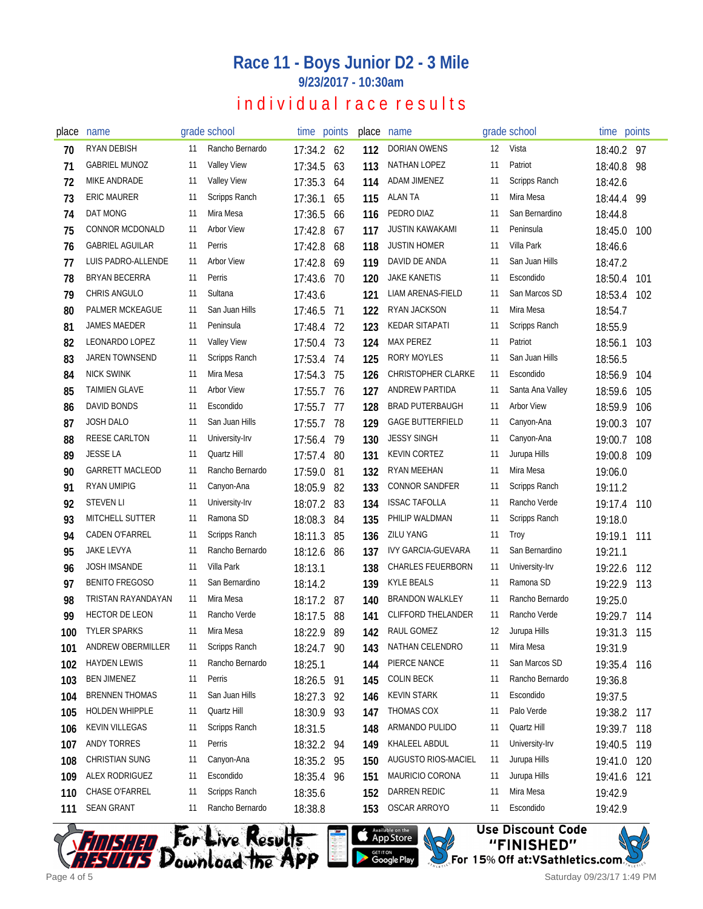### **Race 11 - Boys Junior D2 - 3 Mile**

**9/23/2017 - 10:30am**

### individual race results

| place | name                   |     | grade school         | time points |     | place | name                      |    | grade school         | time points |     |
|-------|------------------------|-----|----------------------|-------------|-----|-------|---------------------------|----|----------------------|-------------|-----|
| 70    | RYAN DEBISH            | 11  | Rancho Bernardo      | 17:34.2 62  |     | 112   | DORIAN OWENS              | 12 | Vista                | 18:40.2 97  |     |
| 71    | <b>GABRIEL MUNOZ</b>   | 11  | <b>Valley View</b>   | 17:34.5     | 63  | 113   | NATHAN LOPEZ              | 11 | Patriot              | 18:40.8     | 98  |
| 72    | <b>MIKE ANDRADE</b>    | 11  | <b>Valley View</b>   | 17:35.3     | 64  | 114   | <b>ADAM JIMENEZ</b>       | 11 | <b>Scripps Ranch</b> | 18:42.6     |     |
| 73    | <b>ERIC MAURER</b>     | 11  | Scripps Ranch        | 17:36.1     | 65  | 115   | ALAN TA                   | 11 | Mira Mesa            | 18:44.4     | 99  |
| 74    | DAT MONG               | 11  | Mira Mesa            | 17:36.5     | 66  | 116   | PEDRO DIAZ                | 11 | San Bernardino       | 18:44.8     |     |
| 75    | CONNOR MCDONALD        | 11  | <b>Arbor View</b>    | 17:42.8     | 67  | 117   | <b>JUSTIN KAWAKAMI</b>    | 11 | Peninsula            | 18:45.0     | 100 |
| 76    | <b>GABRIEL AGUILAR</b> | 11  | Perris               | 17:42.8     | 68  | 118   | <b>JUSTIN HOMER</b>       | 11 | Villa Park           | 18:46.6     |     |
| 77    | LUIS PADRO-ALLENDE     | 11  | <b>Arbor View</b>    | 17:42.8     | 69  | 119   | DAVID DE ANDA             | 11 | San Juan Hills       | 18:47.2     |     |
| 78    | <b>BRYAN BECERRA</b>   | 11  | Perris               | 17:43.6     | -70 | 120   | <b>JAKE KANETIS</b>       | 11 | Escondido            | 18:50.4     | 101 |
| 79    | CHRIS ANGULO           | 11  | Sultana              | 17:43.6     |     | 121   | LIAM ARENAS-FIELD         | 11 | San Marcos SD        | 18:53.4     | 102 |
| 80    | PALMER MCKEAGUE        | 11  | San Juan Hills       | 17:46.5     | 71  | 122   | RYAN JACKSON              | 11 | Mira Mesa            | 18:54.7     |     |
| 81    | JAMES MAEDER           | 11  | Peninsula            | 17:48.4     | -72 | 123   | KEDAR SITAPATI            | 11 | Scripps Ranch        | 18:55.9     |     |
| 82    | LEONARDO LOPEZ         | 11  | <b>Valley View</b>   | 17:50.4     | 73  | 124   | <b>MAX PEREZ</b>          | 11 | Patriot              | 18:56.1     | 103 |
| 83    | JAREN TOWNSEND         | 11  | <b>Scripps Ranch</b> | 17:53.4     | 74  | 125   | <b>RORY MOYLES</b>        | 11 | San Juan Hills       | 18:56.5     |     |
| 84    | <b>NICK SWINK</b>      | 11  | Mira Mesa            | 17:54.3     | 75  | 126   | <b>CHRISTOPHER CLARKE</b> | 11 | Escondido            | 18:56.9     | 104 |
| 85    | <b>TAIMIEN GLAVE</b>   | -11 | <b>Arbor View</b>    | 17:55.7     | 76  | 127   | ANDREW PARTIDA            | 11 | Santa Ana Valley     | 18:59.6     | 105 |
| 86    | DAVID BONDS            | 11  | Escondido            | 17:55.7     | 77  | 128   | <b>BRAD PUTERBAUGH</b>    | 11 | <b>Arbor View</b>    | 18:59.9     | 106 |
| 87    | <b>JOSH DALO</b>       | 11  | San Juan Hills       | 17:55.7     | 78  | 129   | <b>GAGE BUTTERFIELD</b>   | 11 | Canyon-Ana           | 19:00.3     | 107 |
| 88    | REESE CARLTON          | 11  | University-Irv       | 17:56.4     | 79  | 130   | <b>JESSY SINGH</b>        | 11 | Canyon-Ana           | 19:00.7     | 108 |
| 89    | <b>JESSE LA</b>        | 11  | Quartz Hill          | 17:57.4     | -80 | 131   | <b>KEVIN CORTEZ</b>       | 11 | Jurupa Hills         | 19:00.8     | 109 |
| 90    | <b>GARRETT MACLEOD</b> | 11  | Rancho Bernardo      | 17:59.0     | 81  | 132   | RYAN MEEHAN               | 11 | Mira Mesa            | 19:06.0     |     |
| 91    | <b>RYAN UMIPIG</b>     | 11  | Canyon-Ana           | 18:05.9     | 82  | 133   | <b>CONNOR SANDFER</b>     | 11 | Scripps Ranch        | 19:11.2     |     |
| 92    | <b>STEVEN LI</b>       | 11  | University-Irv       | 18:07.2     | 83  | 134   | <b>ISSAC TAFOLLA</b>      | 11 | Rancho Verde         | 19:17.4     | 110 |
| 93    | <b>MITCHELL SUTTER</b> | 11  | Ramona SD            | 18:08.3     | 84  | 135   | PHILIP WALDMAN            | 11 | Scripps Ranch        | 19:18.0     |     |
| 94    | <b>CADEN O'FARREL</b>  | 11  | Scripps Ranch        | 18:11.3     | 85  | 136   | ZILU YANG                 | 11 | Troy                 | 19:19.1     | 111 |
| 95    | JAKE LEVYA             | 11  | Rancho Bernardo      | 18:12.6     | -86 | 137   | <b>IVY GARCIA-GUEVARA</b> | 11 | San Bernardino       | 19:21.1     |     |
| 96    | <b>JOSH IMSANDE</b>    | 11  | Villa Park           | 18:13.1     |     | 138   | <b>CHARLES FEUERBORN</b>  | 11 | University-Irv       | 19:22.6     | 112 |
| 97    | <b>BENITO FREGOSO</b>  | 11  | San Bernardino       | 18:14.2     |     | 139   | <b>KYLE BEALS</b>         | 11 | Ramona SD            | 19:22.9     | 113 |
| 98    | TRISTAN RAYANDAYAN     | 11  | Mira Mesa            | 18:17.2 87  |     | 140   | <b>BRANDON WALKLEY</b>    | 11 | Rancho Bernardo      | 19:25.0     |     |
| 99    | HECTOR DE LEON         | 11  | Rancho Verde         | 18:17.5     | 88  | 141   | <b>CLIFFORD THELANDER</b> | 11 | Rancho Verde         | 19:29.7     | 114 |
| 100   | <b>TYLER SPARKS</b>    | 11  | Mira Mesa            | 18:22.9     | 89  | 142   | RAUL GOMEZ                | 12 | Jurupa Hills         | 19:31.3 115 |     |
| 101   | ANDREW OBERMILLER      | 11  | Scripps Ranch        | 18:24.7 90  |     | 143   | NATHAN CELENDRO           | 11 | Mira Mesa            | 19:31.9     |     |
| 102   | <b>HAYDEN LEWIS</b>    | 11  | Rancho Bernardo      | 18:25.1     |     | 144   | PIERCE NANCE              | 11 | San Marcos SD        | 19:35.4     | 116 |
| 103   | <b>BEN JIMENEZ</b>     | 11  | Perris               | 18:26.5     | 91  | 145   | <b>COLIN BECK</b>         | 11 | Rancho Bernardo      | 19:36.8     |     |
| 104   | <b>BRENNEN THOMAS</b>  | 11  | San Juan Hills       | 18:27.3 92  |     | 146   | <b>KEVIN STARK</b>        | 11 | Escondido            | 19:37.5     |     |
| 105   | HOLDEN WHIPPLE         | 11  | Quartz Hill          | 18:30.9 93  |     | 147   | THOMAS COX                | 11 | Palo Verde           | 19:38.2     | 117 |
| 106   | <b>KEVIN VILLEGAS</b>  | 11  | Scripps Ranch        | 18:31.5     |     | 148   | ARMANDO PULIDO            | 11 | Quartz Hill          | 19:39.7     | 118 |
| 107   | ANDY TORRES            | 11  | Perris               | 18:32.2 94  |     | 149   | KHALEEL ABDUL             | 11 | University-Irv       | 19:40.5     | 119 |
| 108   | <b>CHRISTIAN SUNG</b>  | 11  | Canyon-Ana           | 18:35.2 95  |     | 150   | AUGUSTO RIOS-MACIEL       | 11 | Jurupa Hills         | 19:41.0     | 120 |
| 109   | ALEX RODRIGUEZ         | 11  | Escondido            | 18:35.4 96  |     | 151   | MAURICIO CORONA           | 11 | Jurupa Hills         | 19:41.6     | 121 |
| 110   | CHASE O'FARREL         | 11  | Scripps Ranch        | 18:35.6     |     | 152   | DARREN REDIC              | 11 | Mira Mesa            | 19:42.9     |     |
| 111   | <b>SEAN GRANT</b>      | 11  | Rancho Bernardo      | 18:38.8     |     | 153   | OSCAR ARROYO              | 11 | Escondido            | 19:42.9     |     |